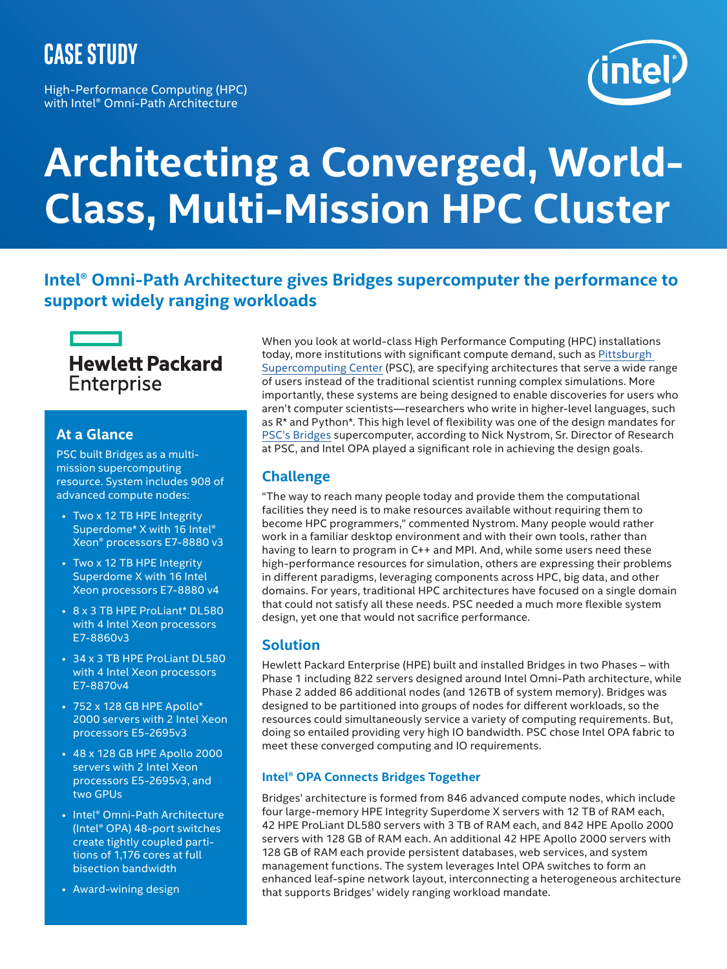# **Case Study**

High-Performance Computing (HPC) with Intel® Omni-Path Architecture



# **Architecting a Converged, World-Class, Multi-Mission HPC Cluster**

# **Intel® Omni-Path Architecture gives Bridges supercomputer the performance to support widely ranging workloads**



# **At a Glance**

PSC built Bridges as a multimission supercomputing resource. System includes 908 of advanced compute nodes:

- Two x 12 TB HPE Integrity Superdome\* X with 16 Intel® Xeon® processors E7-8880 v3
- Two x 12 TB HPE Integrity Superdome X with 16 Intel Xeon processors E7-8880 v4
- 8 x 3 TB HPE ProLiant\* DL580 with 4 Intel Xeon processors E7-8860v3
- 34 x 3 TB HPE ProLiant DL580 with 4 Intel Xeon processors E7-8870v4
- 752 x 128 GB HPE Apollo\* 2000 servers with 2 Intel Xeon processors E5-2695v3
- 48 x 128 GB HPE Apollo 2000 servers with 2 Intel Xeon processors E5-2695v3, and two GPUs
- Intel® Omni-Path Architecture (Intel® OPA) 48-port switches create tightly coupled partitions of 1,176 cores at full bisection bandwidth
- Award-wining design

When you look at world-class High Performance Computing (HPC) installations today, more institutions with significant compute demand, such as [Pittsburgh](https://www.psc.edu/)  [Supercomputing Center](https://www.psc.edu/) (PSC), are specifying architectures that serve a wide range of users instead of the traditional scientist running complex simulations. More importantly, these systems are being designed to enable discoveries for users who aren't computer scientists—researchers who write in higher-level languages, such as R\* and Python\*. This high level of flexibility was one of the design mandates for [PSC's Bridges](https://www.psc.edu/resources/computing/bridges) supercomputer, according to Nick Nystrom, Sr. Director of Research at PSC, and Intel OPA played a significant role in achieving the design goals.

# **Challenge**

"The way to reach many people today and provide them the computational facilities they need is to make resources available without requiring them to become HPC programmers," commented Nystrom. Many people would rather work in a familiar desktop environment and with their own tools, rather than having to learn to program in C++ and MPI. And, while some users need these high-performance resources for simulation, others are expressing their problems in different paradigms, leveraging components across HPC, big data, and other domains. For years, traditional HPC architectures have focused on a single domain that could not satisfy all these needs. PSC needed a much more flexible system design, yet one that would not sacrifice performance.

# **Solution**

Hewlett Packard Enterprise (HPE) built and installed Bridges in two Phases – with Phase 1 including 822 servers designed around Intel Omni-Path architecture, while Phase 2 added 86 additional nodes (and 126TB of system memory). Bridges was designed to be partitioned into groups of nodes for different workloads, so the resources could simultaneously service a variety of computing requirements. But, doing so entailed providing very high IO bandwidth. PSC chose Intel OPA fabric to meet these converged computing and IO requirements.

### **Intel® OPA Connects Bridges Together**

Bridges' architecture is formed from 846 advanced compute nodes, which include four large-memory HPE Integrity Superdome X servers with 12 TB of RAM each, 42 HPE ProLiant DL580 servers with 3 TB of RAM each, and 842 HPE Apollo 2000 servers with 128 GB of RAM each. An additional 42 HPE Apollo 2000 servers with 128 GB of RAM each provide persistent databases, web services, and system management functions. The system leverages Intel OPA switches to form an enhanced leaf-spine network layout, interconnecting a heterogeneous architecture that supports Bridges' widely ranging workload mandate.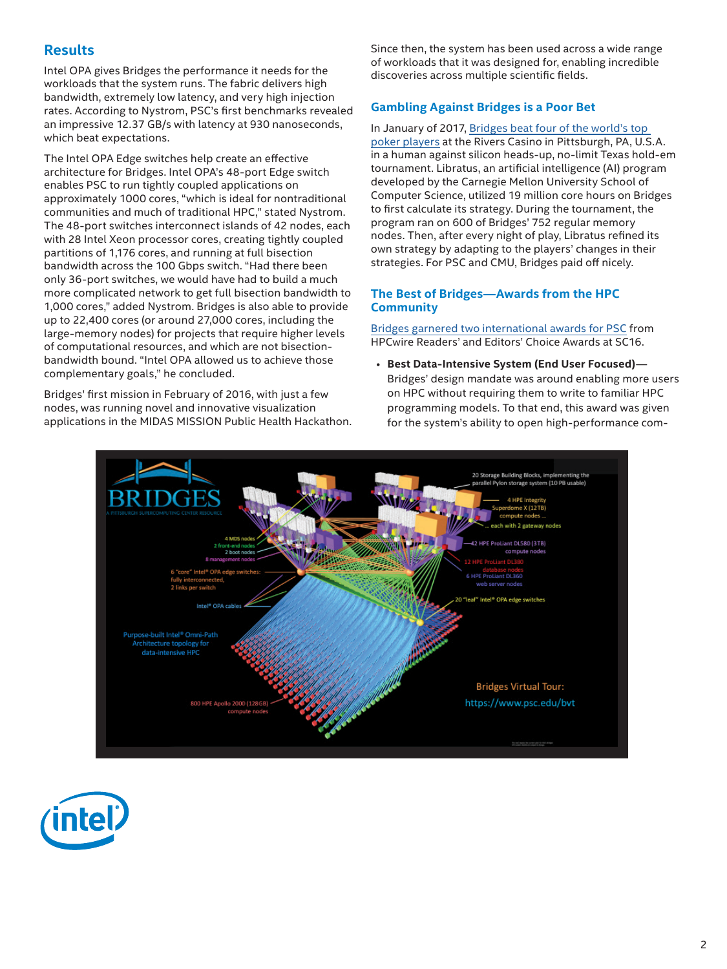# **Results**

Intel OPA gives Bridges the performance it needs for the workloads that the system runs. The fabric delivers high bandwidth, extremely low latency, and very high injection rates. According to Nystrom, PSC's first benchmarks revealed an impressive 12.37 GB/s with latency at 930 nanoseconds, which beat expectations.

The Intel OPA Edge switches help create an effective architecture for Bridges. Intel OPA's 48-port Edge switch enables PSC to run tightly coupled applications on approximately 1000 cores, "which is ideal for nontraditional communities and much of traditional HPC," stated Nystrom. The 48-port switches interconnect islands of 42 nodes, each with 28 Intel Xeon processor cores, creating tightly coupled partitions of 1,176 cores, and running at full bisection bandwidth across the 100 Gbps switch. "Had there been only 36-port switches, we would have had to build a much more complicated network to get full bisection bandwidth to 1,000 cores," added Nystrom. Bridges is also able to provide up to 22,400 cores (or around 27,000 cores, including the large-memory nodes) for projects that require higher levels of computational resources, and which are not bisectionbandwidth bound. "Intel OPA allowed us to achieve those complementary goals," he concluded.

Bridges' first mission in February of 2016, with just a few nodes, was running novel and innovative visualization applications in the MIDAS MISSION Public Health Hackathon. Since then, the system has been used across a wide range of workloads that it was designed for, enabling incredible discoveries across multiple scientific fields.

#### **Gambling Against Bridges is a Poor Bet**

In January of 2017, [Bridges beat four of the world's top](https://www.psc.edu/news-publications/2506-bridges-powered-ai-defeats-human-poker-experts)  [poker players](https://www.psc.edu/news-publications/2506-bridges-powered-ai-defeats-human-poker-experts) at the Rivers Casino in Pittsburgh, PA, U.S.A. in a human against silicon heads-up, no-limit Texas hold-em tournament. Libratus, an artificial intelligence (AI) program developed by the Carnegie Mellon University School of Computer Science, utilized 19 million core hours on Bridges to first calculate its strategy. During the tournament, the program ran on 600 of Bridges' 752 regular memory nodes. Then, after every night of play, Libratus refined its own strategy by adapting to the players' changes in their strategies. For PSC and CMU, Bridges paid off nicely.

#### **The Best of Bridges—Awards from the HPC Community**

[Bridges garnered two international awards for PSC](https://www.psc.edu/news-publications/2437-bridges-brain-reconstruction-win-hpcwire-awards) from HPCwire Readers' and Editors' Choice Awards at SC16.

• **Best Data-Intensive System (End User Focused)**— Bridges' design mandate was around enabling more users on HPC without requiring them to write to familiar HPC programming models. To that end, this award was given for the system's ability to open high-performance com-